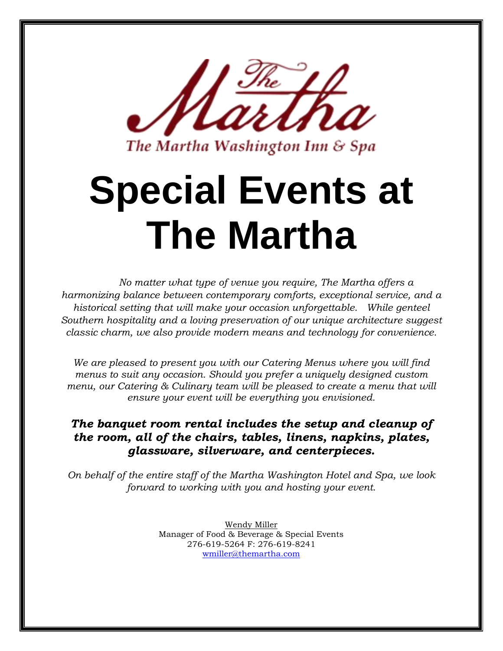

The Martha Washington Inn & Spa

# **Special Events at The Martha**

*No matter what type of venue you require, The Martha offers a harmonizing balance between contemporary comforts, exceptional service, and a historical setting that will make your occasion unforgettable. While genteel Southern hospitality and a loving preservation of our unique architecture suggest classic charm, we also provide modern means and technology for convenience.*

*We are pleased to present you with our Catering Menus where you will find menus to suit any occasion. Should you prefer a uniquely designed custom menu, our Catering & Culinary team will be pleased to create a menu that will ensure your event will be everything you envisioned.*

### *The banquet room rental includes the setup and cleanup of the room, all of the chairs, tables, linens, napkins, plates, glassware, silverware, and centerpieces.*

*On behalf of the entire staff of the Martha Washington Hotel and Spa, we look forward to working with you and hosting your event.*

> Wendy Miller Manager of Food & Beverage & Special Events 276-619-5264 F: 276-619-8241 [wmiller@themartha.com](mailto:sales@themartha.com)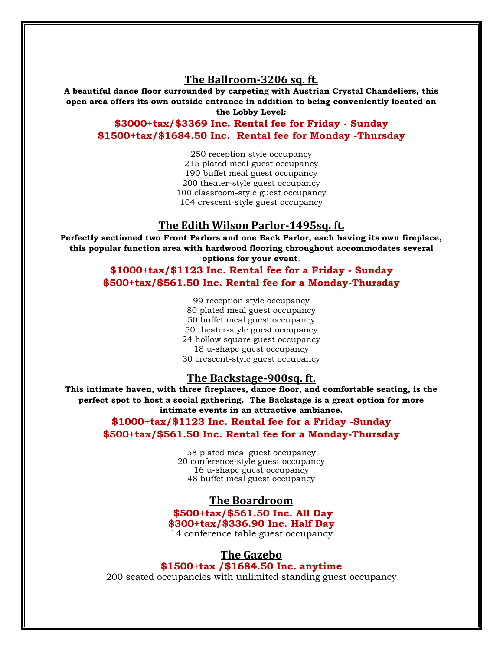### **The Ballroom-3206 sq. ft.**

**A beautiful dance floor surrounded by carpeting with Austrian Crystal Chandeliers, this open area offers its own outside entrance in addition to being conveniently located on the Lobby Level:** 

**\$3000+tax/\$3369 Inc. Rental fee for Friday - Sunday \$1500+tax/\$1684.50 Inc. Rental fee for Monday -Thursday** 

> 250 reception style occupancy 215 plated meal guest occupancy 190 buffet meal guest occupancy 200 theater-style guest occupancy 100 classroom-style guest occupancy 104 crescent-style guest occupancy

### **The Edith Wilson Parlor-1495sq. ft.**

**Perfectly sectioned two Front Parlors and one Back Parlor, each having its own fireplace, this popular function area with hardwood flooring throughout accommodates several options for your event**.

> **\$1000+tax/\$1123 Inc. Rental fee for a Friday - Sunday \$500+tax/\$561.50 Inc. Rental fee for a Monday-Thursday**

> > 99 reception style occupancy 80 plated meal guest occupancy 50 buffet meal guest occupancy 50 theater-style guest occupancy 24 hollow square guest occupancy 18 u-shape guest occupancy 30 crescent-style guest occupancy

### **The Backstage-900sq. ft.**

**This intimate haven, with three fireplaces, dance floor, and comfortable seating, is the perfect spot to host a social gathering. The Backstage is a great option for more intimate events in an attractive ambiance.** 

> **\$1000+tax/\$1123 Inc. Rental fee for a Friday -Sunday \$500+tax/\$561.50 Inc. Rental fee for a Monday-Thursday**

> > plated meal guest occupancy 20 conference-style guest occupancy u-shape guest occupancy buffet meal guest occupancy

### **The Boardroom**

**\$500+tax/\$561.50 Inc. All Day \$300+tax/\$336.90 Inc. Half Day**

14 conference table guest occupancy

### **The Gazebo \$1500+tax /\$1684.50 Inc. anytime**

200 seated occupancies with unlimited standing guest occupancy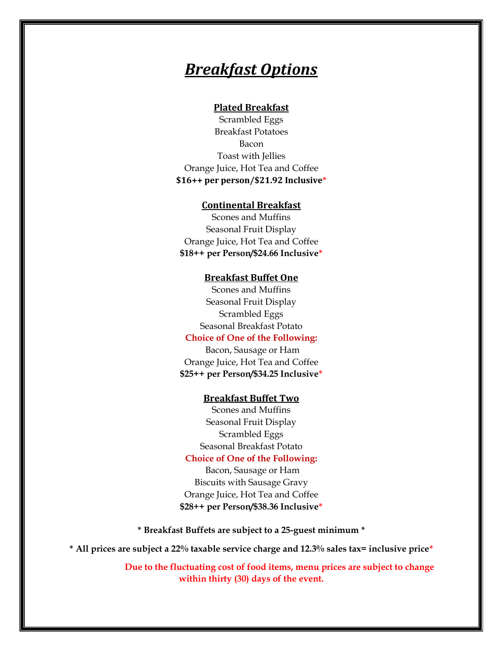# *Breakfast Options*

### **Plated Breakfast**

Scrambled Eggs Breakfast Potatoes Bacon Toast with Jellies Orange Juice, Hot Tea and Coffee **\$16++ per person/\$21.92 Inclusive\***

### **Continental Breakfast**

Scones and Muffins Seasonal Fruit Display Orange Juice, Hot Tea and Coffee **\$18++ per Person/\$24.66 Inclusive\***

#### **Breakfast Buffet One**

Scones and Muffins Seasonal Fruit Display Scrambled Eggs Seasonal Breakfast Potato

### **Choice of One of the Following:**

Bacon, Sausage or Ham Orange Juice, Hot Tea and Coffee **\$25++ per Person/\$34.25 Inclusive\***

### **Breakfast Buffet Two**

Scones and Muffins Seasonal Fruit Display Scrambled Eggs Seasonal Breakfast Potato

### **Choice of One of the Following:**

Bacon, Sausage or Ham Biscuits with Sausage Gravy Orange Juice, Hot Tea and Coffee **\$28++ per Person/\$38.36 Inclusive\***

**\* Breakfast Buffets are subject to a 25-guest minimum \***

**\* All prices are subject a 22% taxable service charge and 12.3% sales tax= inclusive price\***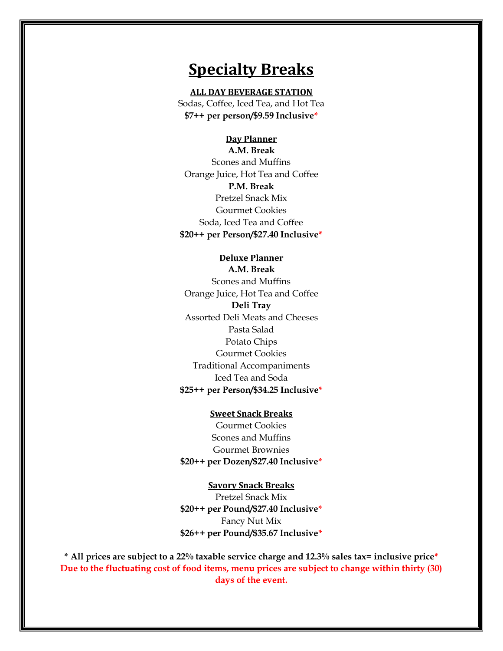### **Specialty Breaks**

#### **ALL DAY BEVERAGE STATION**

Sodas, Coffee, Iced Tea, and Hot Tea **\$7++ per person/\$9.59 Inclusive\***

#### **Day Planner**

**A.M. Break** Scones and Muffins Orange Juice, Hot Tea and Coffee **P.M. Break** Pretzel Snack Mix Gourmet Cookies Soda, Iced Tea and Coffee **\$20++ per Person/\$27.40 Inclusive\***

### **Deluxe Planner**

**A.M. Break** Scones and Muffins Orange Juice, Hot Tea and Coffee **Deli Tray**  Assorted Deli Meats and Cheeses Pasta Salad Potato Chips Gourmet Cookies Traditional Accompaniments Iced Tea and Soda **\$25++ per Person/\$34.25 Inclusive\***

### **Sweet Snack Breaks**

Gourmet Cookies Scones and Muffins Gourmet Brownies **\$20++ per Dozen/\$27.40 Inclusive\***

#### **Savory Snack Breaks**

Pretzel Snack Mix **\$20++ per Pound/\$27.40 Inclusive\*** Fancy Nut Mix **\$26++ per Pound/\$35.67 Inclusive\***

**\* All prices are subject to a 22% taxable service charge and 12.3% sales tax= inclusive price\* Due to the fluctuating cost of food items, menu prices are subject to change within thirty (30) days of the event.**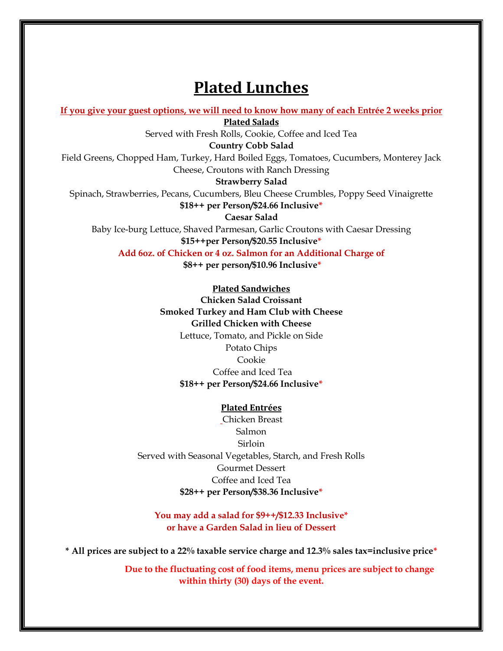# **Plated Lunches**

**If you give your guest options, we will need to know how many of each Entrée 2 weeks prior**

**Plated Salads**

Served with Fresh Rolls, Cookie, Coffee and Iced Tea

**Country Cobb Salad**

Field Greens, Chopped Ham, Turkey, Hard Boiled Eggs, Tomatoes, Cucumbers, Monterey Jack Cheese, Croutons with Ranch Dressing

#### **Strawberry Salad**

Spinach, Strawberries, Pecans, Cucumbers, Bleu Cheese Crumbles, Poppy Seed Vinaigrette **\$18++ per Person/\$24.66 Inclusive\***

**Caesar Salad** Baby Ice-burg Lettuce, Shaved Parmesan, Garlic Croutons with Caesar Dressing **\$15++per Person/\$20.55 Inclusive\***

**Add 6oz. of Chicken or 4 oz. Salmon for an Additional Charge of**

**\$8++ per person/\$10.96 Inclusive\***

### **Plated Sandwiches**

**Chicken Salad Croissant Smoked Turkey and Ham Club with Cheese Grilled Chicken with Cheese** Lettuce, Tomato, and Pickle on Side Potato Chips Cookie Coffee and Iced Tea **\$18++ per Person/\$24.66 Inclusive\***

#### **Plated Entrées**

Chicken Breast Salmon Sirloin Served with Seasonal Vegetables, Starch, and Fresh Rolls Gourmet Dessert Coffee and Iced Tea **\$28++ per Person/\$38.36 Inclusive\*** 

### **You may add a salad for \$9++/\$12.33 Inclusive\* or have a Garden Salad in lieu of Dessert**

**\* All prices are subject to a 22% taxable service charge and 12.3% sales tax=inclusive price\***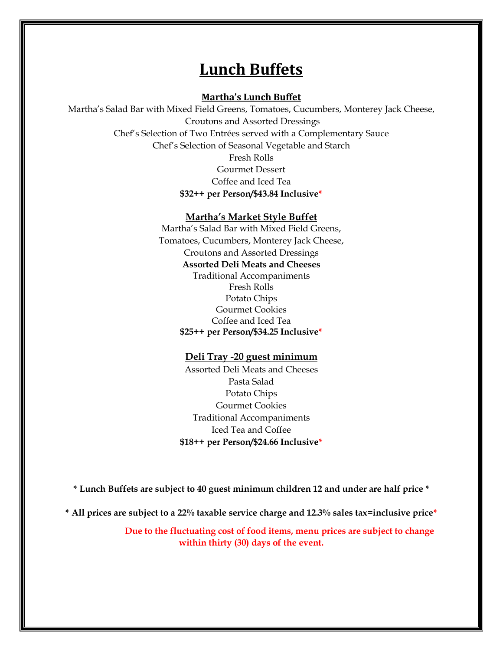### **Lunch Buffets**

### **Martha's Lunch Buffet**

Martha's Salad Bar with Mixed Field Greens, Tomatoes, Cucumbers, Monterey Jack Cheese, Croutons and Assorted Dressings Chef's Selection of Two Entrées served with a Complementary Sauce Chef's Selection of Seasonal Vegetable and Starch Fresh Rolls Gourmet Dessert Coffee and Iced Tea **\$32++ per Person/\$43.84 Inclusive\***

### **Martha's Market Style Buffet**

Martha's Salad Bar with Mixed Field Greens, Tomatoes, Cucumbers, Monterey Jack Cheese, Croutons and Assorted Dressings **Assorted Deli Meats and Cheeses** Traditional Accompaniments Fresh Rolls Potato Chips Gourmet Cookies Coffee and Iced Tea **\$25++ per Person/\$34.25 Inclusive\***

### **Deli Tray -20 guest minimum**

Assorted Deli Meats and Cheeses Pasta Salad Potato Chips Gourmet Cookies Traditional Accompaniments Iced Tea and Coffee **\$18++ per Person/\$24.66 Inclusive\***

**\* Lunch Buffets are subject to 40 guest minimum children 12 and under are half price \***

**\* All prices are subject to a 22% taxable service charge and 12.3% sales tax=inclusive price\***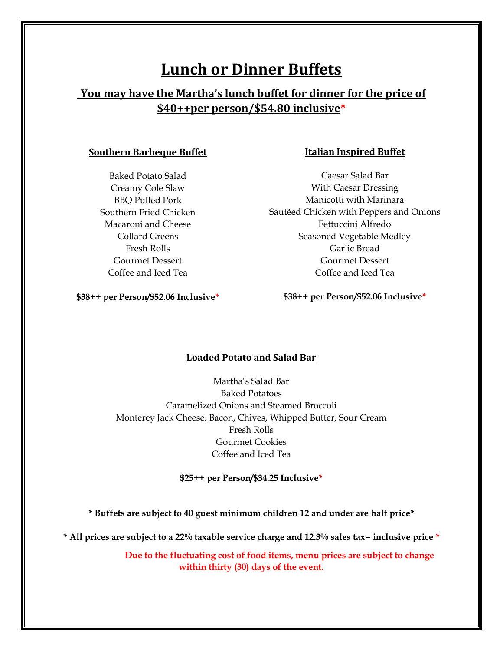# **Lunch or Dinner Buffets**

### **You may have the Martha's lunch buffet for dinner for the price of \$40++per person/\$54.80 inclusive\***

### **Southern Barbeque Buffet**

Baked Potato Salad Creamy Cole Slaw BBQ Pulled Pork Southern Fried Chicken Macaroni and Cheese Collard Greens Fresh Rolls Gourmet Dessert Coffee and Iced Tea

### **Italian Inspired Buffet**

Caesar Salad Bar With Caesar Dressing Manicotti with Marinara Sautéed Chicken with Peppers and Onions Fettuccini Alfredo Seasoned Vegetable Medley Garlic Bread Gourmet Dessert Coffee and Iced Tea

**\$38++ per Person/\$52.06 Inclusive\***

### **\$38++ per Person/\$52.06 Inclusive\***

### **Loaded Potato and Salad Bar**

Martha's Salad Bar Baked Potatoes Caramelized Onions and Steamed Broccoli Monterey Jack Cheese, Bacon, Chives, Whipped Butter, Sour Cream Fresh Rolls Gourmet Cookies Coffee and Iced Tea

**\$25++ per Person/\$34.25 Inclusive\***

**\* Buffets are subject to 40 guest minimum children 12 and under are half price\***

**\* All prices are subject to a 22% taxable service charge and 12.3% sales tax= inclusive price \***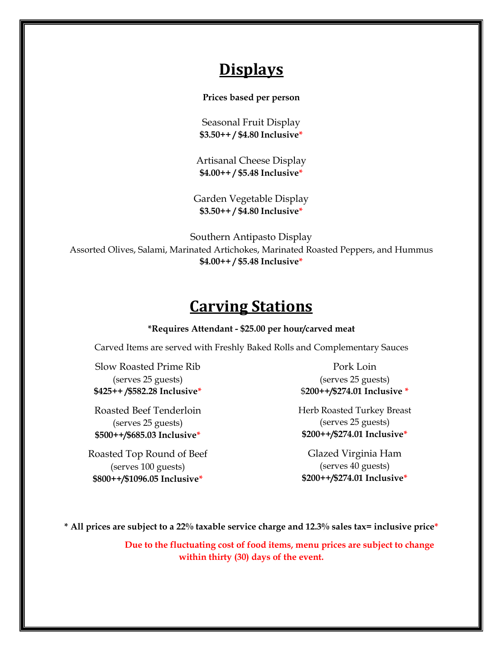# **Displays**

**Prices based per person**

Seasonal Fruit Display **\$3.50++ / \$4.80 Inclusive\***

Artisanal Cheese Display **\$4.00++ / \$5.48 Inclusive\***

Garden Vegetable Display **\$3.50++ / \$4.80 Inclusive\***

Southern Antipasto Display Assorted Olives, Salami, Marinated Artichokes, Marinated Roasted Peppers, and Hummus **\$4.00++ / \$5.48 Inclusive\***

# **Carving Stations**

### **\*Requires Attendant - \$25.00 per hour/carved meat**

Carved Items are served with Freshly Baked Rolls and Complementary Sauces

Slow Roasted Prime Rib (serves 25 guests) **\$425++ /\$582.28 Inclusive\***

Roasted Beef Tenderloin (serves 25 guests) **\$500++/\$685.03 Inclusive\***

Roasted Top Round of Beef (serves 100 guests) **\$800++/\$1096.05 Inclusive\***

Pork Loin (serves 25 guests) \$**200++/\$274.01 Inclusive \***

Herb Roasted Turkey Breast (serves 25 guests) **\$200++/\$274.01 Inclusive\***

Glazed Virginia Ham (serves 40 guests) **\$200++/\$274.01 Inclusive\***

**\* All prices are subject to a 22% taxable service charge and 12.3% sales tax= inclusive price\***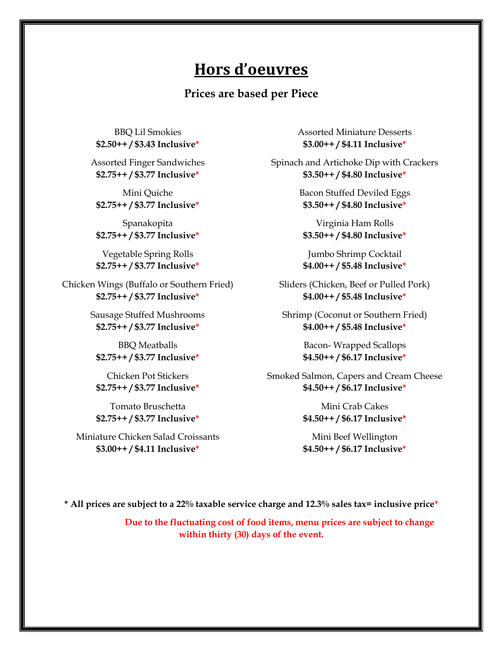### **Hors d'oeuvres**

**Prices are based per Piece**

BBQ Lil Smokies **\$2.50++ / \$3.43 Inclusive\***

Assorted Finger Sandwiches **\$2.75++ / \$3.77 Inclusive\***

Mini Quiche **\$2.75++ / \$3.77 Inclusive\***

Spanakopita **\$2.75++ / \$3.77 Inclusive\*** 

Vegetable Spring Rolls **\$2.75++ / \$3.77 Inclusive\***

Chicken Wings (Buffalo or Southern Fried) **\$2.75++ / \$3.77 Inclusive\***

> Sausage Stuffed Mushrooms **\$2.75++ / \$3.77 Inclusive\***

BBQ Meatballs **\$2.75++ / \$3.77 Inclusive\***

Chicken Pot Stickers **\$2.75++ / \$3.77 Inclusive\***

Tomato Bruschetta **\$2.75++ / \$3.77 Inclusive\***

Miniature Chicken Salad Croissants **\$3.00++ / \$4.11 Inclusive\***

Assorted Miniature Desserts **\$3.00++ / \$4.11 Inclusive\***

Spinach and Artichoke Dip with Crackers **\$3.50++ / \$4.80 Inclusive\***

> Bacon Stuffed Deviled Eggs **\$3.50++ / \$4.80 Inclusive\***

Virginia Ham Rolls **\$3.50++ / \$4.80 Inclusive\***

Jumbo Shrimp Cocktail **\$4.00++ / \$5.48 Inclusive\***

Sliders (Chicken, Beef or Pulled Pork) **\$4.00++ / \$5.48 Inclusive\***

Shrimp (Coconut or Southern Fried) **\$4.00++ / \$5.48 Inclusive\***

> Bacon- Wrapped Scallops **\$4.50++ / \$6.17 Inclusive\***

Smoked Salmon, Capers and Cream Cheese **\$4.50++ / \$6.17 Inclusive\***

> Mini Crab Cakes **\$4.50++ / \$6.17 Inclusive\***

> Mini Beef Wellington **\$4.50++ / \$6.17 Inclusive\***

**\* All prices are subject to a 22% taxable service charge and 12.3% sales tax= inclusive price\***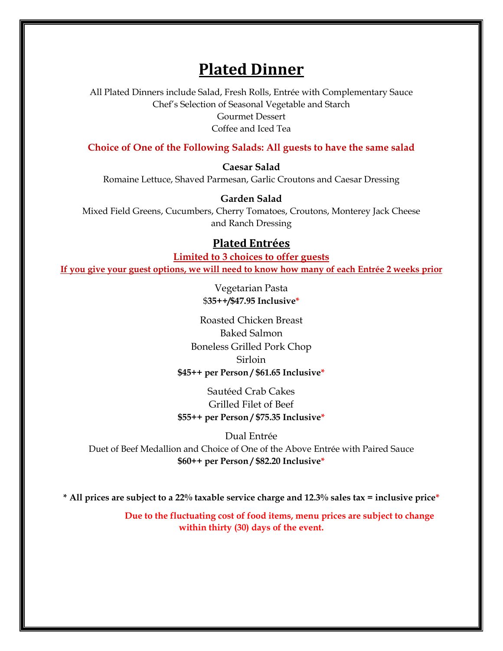# **Plated Dinner**

All Plated Dinners include Salad, Fresh Rolls, Entrée with Complementary Sauce Chef's Selection of Seasonal Vegetable and Starch Gourmet Dessert Coffee and Iced Tea

**Choice of One of the Following Salads: All guests to have the same salad**

**Caesar Salad**

Romaine Lettuce, Shaved Parmesan, Garlic Croutons and Caesar Dressing

**Garden Salad**

Mixed Field Greens, Cucumbers, Cherry Tomatoes, Croutons, Monterey Jack Cheese and Ranch Dressing

### **Plated Entrées**

**Limited to 3 choices to offer guests If you give your guest options, we will need to know how many of each Entrée 2 weeks prior**

> Vegetarian Pasta \$**35++/\$47.95 Inclusive\***

Roasted Chicken Breast Baked Salmon Boneless Grilled Pork Chop Sirloin **\$45++ per Person / \$61.65 Inclusive\***

Sautéed Crab Cakes Grilled Filet of Beef **\$55++ per Person / \$75.35 Inclusive\***

Dual Entrée Duet of Beef Medallion and Choice of One of the Above Entrée with Paired Sauce **\$60++ per Person / \$82.20 Inclusive\***

**\* All prices are subject to a 22% taxable service charge and 12.3% sales tax = inclusive price\***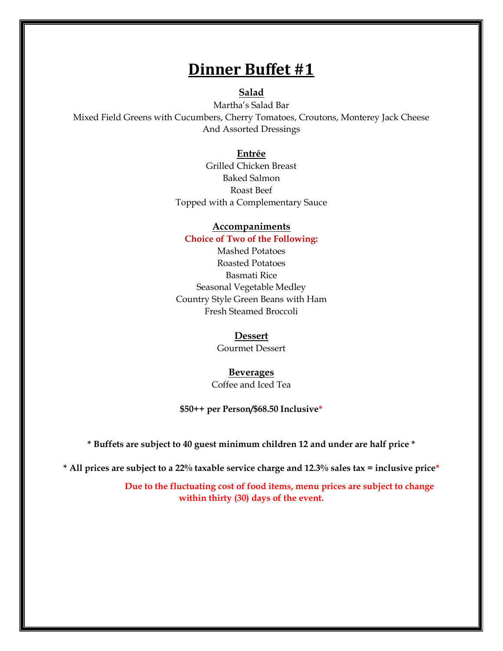# **Dinner Buffet #1**

#### **Salad**

Martha's Salad Bar Mixed Field Greens with Cucumbers, Cherry Tomatoes, Croutons, Monterey Jack Cheese And Assorted Dressings

#### **Entrée**

Grilled Chicken Breast Baked Salmon Roast Beef Topped with a Complementary Sauce

### **Accompaniments**

**Choice of Two of the Following:** Mashed Potatoes Roasted Potatoes Basmati Rice Seasonal Vegetable Medley Country Style Green Beans with Ham Fresh Steamed Broccoli

#### **Dessert**

Gourmet Dessert

#### **Beverages**

Coffee and Iced Tea

#### **\$50++ per Person/\$68.50 Inclusive\***

**\* Buffets are subject to 40 guest minimum children 12 and under are half price \***

**\* All prices are subject to a 22% taxable service charge and 12.3% sales tax = inclusive price\***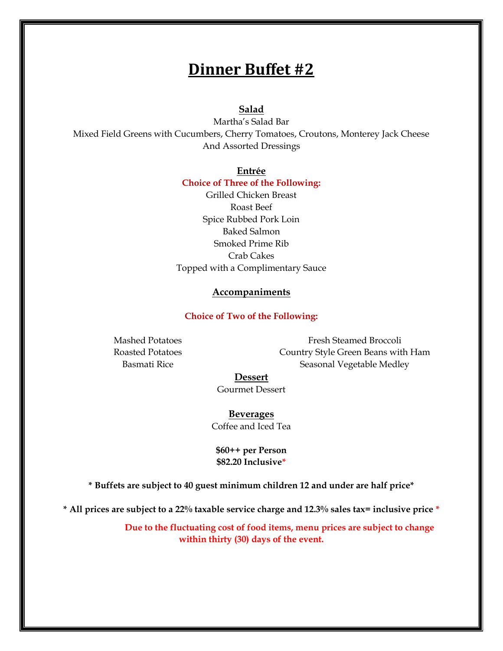## **Dinner Buffet #2**

### **Salad**

Martha's Salad Bar Mixed Field Greens with Cucumbers, Cherry Tomatoes, Croutons, Monterey Jack Cheese And Assorted Dressings

#### **Entrée**

#### **Choice of Three of the Following:**

Grilled Chicken Breast Roast Beef Spice Rubbed Pork Loin Baked Salmon Smoked Prime Rib Crab Cakes Topped with a Complimentary Sauce

### **Accompaniments**

### **Choice of Two of the Following:**

Mashed Potatoes Roasted Potatoes Basmati Rice

Fresh Steamed Broccoli Country Style Green Beans with Ham Seasonal Vegetable Medley

#### **Dessert**

Gourmet Dessert

**Beverages** Coffee and Iced Tea

**\$60++ per Person \$82.20 Inclusive\***

**\* Buffets are subject to 40 guest minimum children 12 and under are half price\***

**\* All prices are subject to a 22% taxable service charge and 12.3% sales tax= inclusive price \***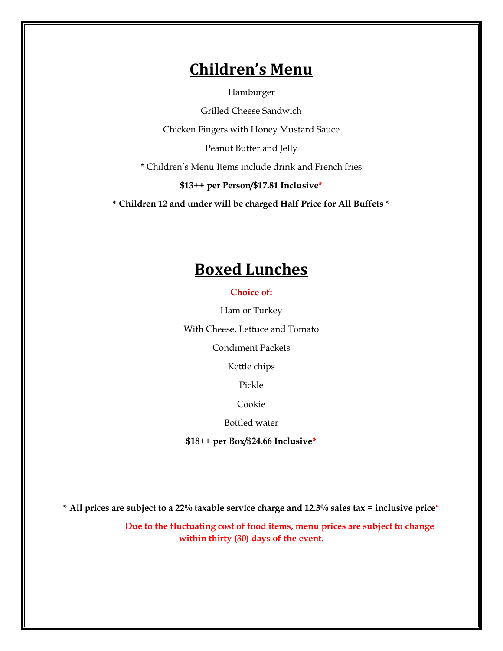# **Children's Menu**

Hamburger

Grilled Cheese Sandwich Chicken Fingers with Honey Mustard Sauce Peanut Butter and Jelly \* Children's Menu Items include drink and French fries **\$13++ per Person/\$17.81 Inclusive\***

**\* Children 12 and under will be charged Half Price for All Buffets \***

# **Boxed Lunches**

**Choice of:**

Ham or Turkey With Cheese, Lettuce and Tomato

Condiment Packets

Kettle chips

Pickle

Cookie

Bottled water

**\$18++ per Box/\$24.66 Inclusive\***

**\* All prices are subject to a 22% taxable service charge and 12.3% sales tax = inclusive price\***